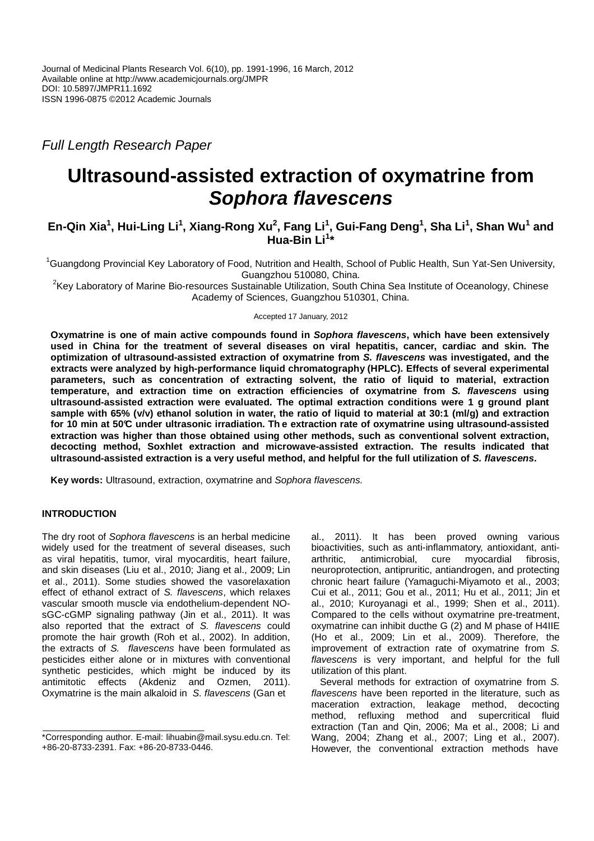Full Length Research Paper

# **Ultrasound-assisted extraction of oxymatrine from Sophora flavescens**

## $\mathbf{E}$ n-Qin Xia<sup>1</sup>, Hui-Ling Li<sup>1</sup>, Xiang-Rong Xu<sup>2</sup>, Fang Li<sup>1</sup>, Gui-Fang Deng<sup>1</sup>, Sha Li<sup>1</sup>, Shan Wu<sup>1</sup> and **Hua-Bin Li<sup>1</sup> \***

<sup>1</sup>Guangdong Provincial Key Laboratory of Food, Nutrition and Health, School of Public Health, Sun Yat-Sen University, Guangzhou 510080, China.

<sup>2</sup>Key Laboratory of Marine Bio-resources Sustainable Utilization, South China Sea Institute of Oceanology, Chinese Academy of Sciences, Guangzhou 510301, China.

Accepted 17 January, 2012

**Oxymatrine is one of main active compounds found in Sophora flavescens, which have been extensively used in China for the treatment of several diseases on viral hepatitis, cancer, cardiac and skin. The optimization of ultrasound-assisted extraction of oxymatrine from S. flavescens was investigated, and the extracts were analyzed by high-performance liquid chromatography (HPLC). Effects of several experimental parameters, such as concentration of extracting solvent, the ratio of liquid to material, extraction temperature, and extraction time on extraction efficiencies of oxymatrine from S. flavescens using ultrasound-assisted extraction were evaluated. The optimal extraction conditions were 1 g ground plant sample with 65% (v/v) ethanol solution in water, the ratio of liquid to material at 30:1 (ml/g) and extraction for 10 min at 50°C under ultrasonic irradiation. Th e extraction rate of oxymatrine using ultrasound-assisted extraction was higher than those obtained using other methods, such as conventional solvent extraction, decocting method, Soxhlet extraction and microwave-assisted extraction. The results indicated that ultrasound-assisted extraction is a very useful method, and helpful for the full utilization of S. flavescens.** 

**Key words:** Ultrasound, extraction, oxymatrine and Sophora flavescens.

## **INTRODUCTION**

The dry root of Sophora flavescens is an herbal medicine widely used for the treatment of several diseases, such as viral hepatitis, tumor, viral myocarditis, heart failure, and skin diseases (Liu et al., 2010; Jiang et al., 2009; Lin et al., 2011). Some studies showed the vasorelaxation effect of ethanol extract of S. flavescens, which relaxes vascular smooth muscle via endothelium-dependent NOsGC-cGMP signaling pathway (Jin et al., 2011). It was also reported that the extract of S. flavescens could promote the hair growth (Roh et al., 2002). In addition, the extracts of S. flavescens have been formulated as pesticides either alone or in mixtures with conventional synthetic pesticides, which might be induced by its antimitotic effects (Akdeniz and Ozmen, 2011). Oxymatrine is the main alkaloid in S. flavescens (Gan et

al., 2011). It has been proved owning various bioactivities, such as anti-inflammatory, antioxidant, antiarthritic, antimicrobial, cure myocardial fibrosis, neuroprotection, antipruritic, antiandrogen, and protecting chronic heart failure (Yamaguchi-Miyamoto et al., 2003; Cui et al., 2011; Gou et al., 2011; Hu et al., 2011; Jin et al., 2010; Kuroyanagi et al., 1999; Shen et al., 2011). Compared to the cells without oxymatrine pre-treatment, oxymatrine can inhibit ducthe G (2) and M phase of H4IIE (Ho et al., 2009; Lin et al., 2009). Therefore, the improvement of extraction rate of oxymatrine from S. flavescens is very important, and helpful for the full utilization of this plant.

Several methods for extraction of oxymatrine from S. flavescens have been reported in the literature, such as maceration extraction, leakage method, decocting method, refluxing method and supercritical fluid extraction (Tan and Qin, 2006; Ma et al., 2008; Li and Wang, 2004; Zhang et al., 2007; Ling et al., 2007). However, the conventional extraction methods have

<sup>\*</sup>Corresponding author. E-mail: lihuabin@mail.sysu.edu.cn. Tel: +86-20-8733-2391. Fax: +86-20-8733-0446.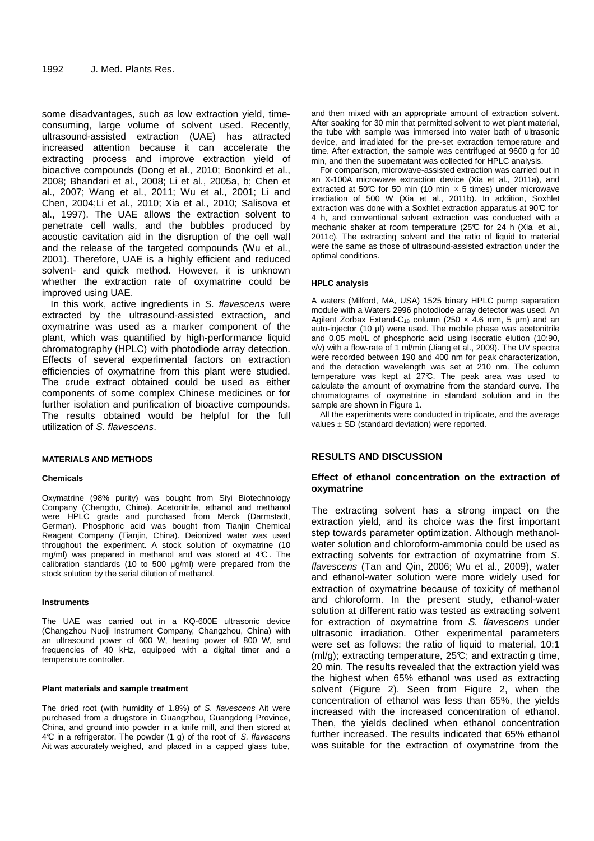some disadvantages, such as low extraction yield, timeconsuming, large volume of solvent used. Recently, ultrasound-assisted extraction (UAE) has attracted increased attention because it can accelerate the extracting process and improve extraction yield of bioactive compounds (Dong et al., 2010; Boonkird et al., 2008; Bhandari et al., 2008; Li et al., 2005a, b; Chen et al., 2007; Wang et al., 2011; Wu et al., 2001; Li and Chen, 2004;Li et al., 2010; Xia et al., 2010; Salisova et al., 1997). The UAE allows the extraction solvent to penetrate cell walls, and the bubbles produced by acoustic cavitation aid in the disruption of the cell wall and the release of the targeted compounds (Wu et al., 2001). Therefore, UAE is a highly efficient and reduced solvent- and quick method. However, it is unknown whether the extraction rate of oxymatrine could be improved using UAE.

In this work, active ingredients in S. flavescens were extracted by the ultrasound-assisted extraction, and oxymatrine was used as a marker component of the plant, which was quantified by high-performance liquid chromatography (HPLC) with photodiode array detection. Effects of several experimental factors on extraction efficiencies of oxymatrine from this plant were studied. The crude extract obtained could be used as either components of some complex Chinese medicines or for further isolation and purification of bioactive compounds. The results obtained would be helpful for the full utilization of S. flavescens.

#### **MATERIALS AND METHODS**

#### **Chemicals**

Oxymatrine (98% purity) was bought from Siyi Biotechnology Company (Chengdu, China). Acetonitrile, ethanol and methanol were HPLC grade and purchased from Merck (Darmstadt, German). Phosphoric acid was bought from Tianjin Chemical Reagent Company (Tianjin, China). Deionized water was used throughout the experiment. A stock solution of oxymatrine (10 mg/ml) was prepared in methanol and was stored at 4°C . The calibration standards (10 to 500 µg/ml) were prepared from the stock solution by the serial dilution of methanol.

#### **Instruments**

The UAE was carried out in a KQ-600E ultrasonic device (Changzhou Nuoji Instrument Company, Changzhou, China) with an ultrasound power of 600 W, heating power of 800 W, and frequencies of 40 kHz, equipped with a digital timer and a temperature controller.

#### **Plant materials and sample treatment**

The dried root (with humidity of 1.8%) of S. flavescens Ait were purchased from a drugstore in Guangzhou, Guangdong Province, China, and ground into powder in a knife mill, and then stored at 4°C in a refrigerator. The powder (1 g) of the root of S. flavescens Ait was accurately weighed, and placed in a capped glass tube,

and then mixed with an appropriate amount of extraction solvent. After soaking for 30 min that permitted solvent to wet plant material, the tube with sample was immersed into water bath of ultrasonic device, and irradiated for the pre-set extraction temperature and time. After extraction, the sample was centrifuged at 9600 g for 10 min, and then the supernatant was collected for HPLC analysis.

For comparison, microwave-assisted extraction was carried out in an X-100A microwave extraction device (Xia et al., 2011a), and extracted at 50°C for 50 min (10 min  $\times$  5 times) under microwave irradiation of 500 W (Xia et al., 2011b). In addition, Soxhlet extraction was done with a Soxhlet extraction apparatus at 90°C for 4 h, and conventional solvent extraction was conducted with a mechanic shaker at room temperature (25°C for 24 h (Xia et al., 2011c). The extracting solvent and the ratio of liquid to material were the same as those of ultrasound-assisted extraction under the optimal conditions.

#### **HPLC analysis**

A waters (Milford, MA, USA) 1525 binary HPLC pump separation module with a Waters 2996 photodiode array detector was used. An Agilent Zorbax Extend-C<sub>18</sub> column (250  $\times$  4.6 mm, 5 µm) and an auto-injector (10 µl) were used. The mobile phase was acetonitrile and 0.05 mol/L of phosphoric acid using isocratic elution (10:90, v/v) with a flow-rate of 1 ml/min (Jiang et al., 2009). The UV spectra were recorded between 190 and 400 nm for peak characterization, and the detection wavelength was set at  $210$  nm. The column temperature was kept at 27°C. The peak area was used to calculate the amount of oxymatrine from the standard curve. The chromatograms of oxymatrine in standard solution and in the sample are shown in Figure 1.

All the experiments were conducted in triplicate, and the average values  $\pm$  SD (standard deviation) were reported.

## **RESULTS AND DISCUSSION**

#### **Effect of ethanol concentration on the extraction of oxymatrine**

The extracting solvent has a strong impact on the extraction yield, and its choice was the first important step towards parameter optimization. Although methanolwater solution and chloroform-ammonia could be used as extracting solvents for extraction of oxymatrine from S. flavescens (Tan and Qin, 2006; Wu et al., 2009), water and ethanol-water solution were more widely used for extraction of oxymatrine because of toxicity of methanol and chloroform. In the present study, ethanol-water solution at different ratio was tested as extracting solvent for extraction of oxymatrine from S. flavescens under ultrasonic irradiation. Other experimental parameters were set as follows: the ratio of liquid to material, 10:1  $(m)/q$ ); extracting temperature, 25°C; and extracting time, 20 min. The results revealed that the extraction yield was the highest when 65% ethanol was used as extracting solvent (Figure 2). Seen from Figure 2, when the concentration of ethanol was less than 65%, the yields increased with the increased concentration of ethanol. Then, the yields declined when ethanol concentration further increased. The results indicated that 65% ethanol was suitable for the extraction of oxymatrine from the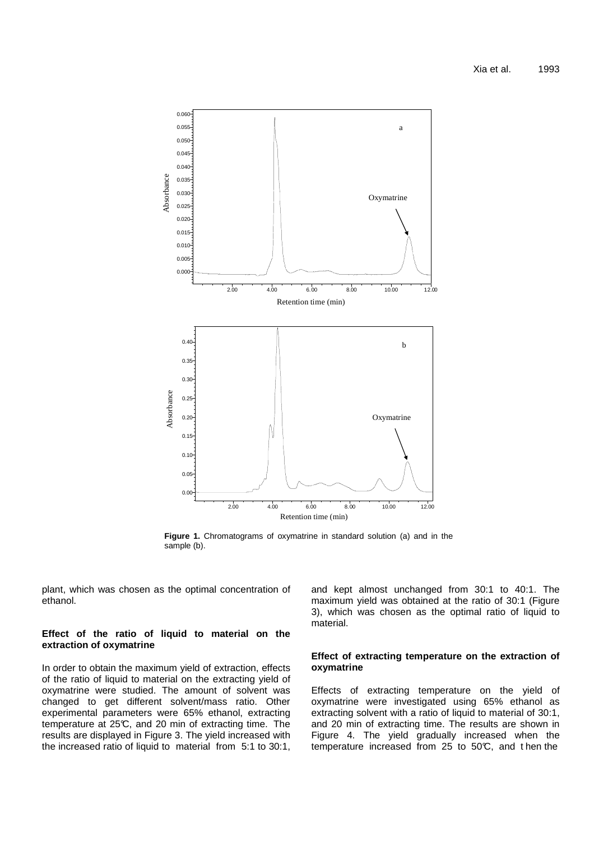

**Figure 1.** Chromatograms of oxymatrine in standard solution (a) and in the sample (b).

plant, which was chosen as the optimal concentration of ethanol.

## **Effect of the ratio of liquid to material on the extraction of oxymatrine**

In order to obtain the maximum yield of extraction, effects of the ratio of liquid to material on the extracting yield of oxymatrine were studied. The amount of solvent was changed to get different solvent/mass ratio. Other experimental parameters were 65% ethanol, extracting temperature at 25°C, and 20 min of extracting time. The results are displayed in Figure 3. The yield increased with the increased ratio of liquid to material from 5:1 to 30:1,

and kept almost unchanged from 30:1 to 40:1. The maximum yield was obtained at the ratio of 30:1 (Figure 3), which was chosen as the optimal ratio of liquid to material.

#### **Effect of extracting temperature on the extraction of oxymatrine**

Effects of extracting temperature on the yield of oxymatrine were investigated using 65% ethanol as extracting solvent with a ratio of liquid to material of 30:1, and 20 min of extracting time. The results are shown in Figure 4. The yield gradually increased when the temperature increased from 25 to 50°C, and t hen the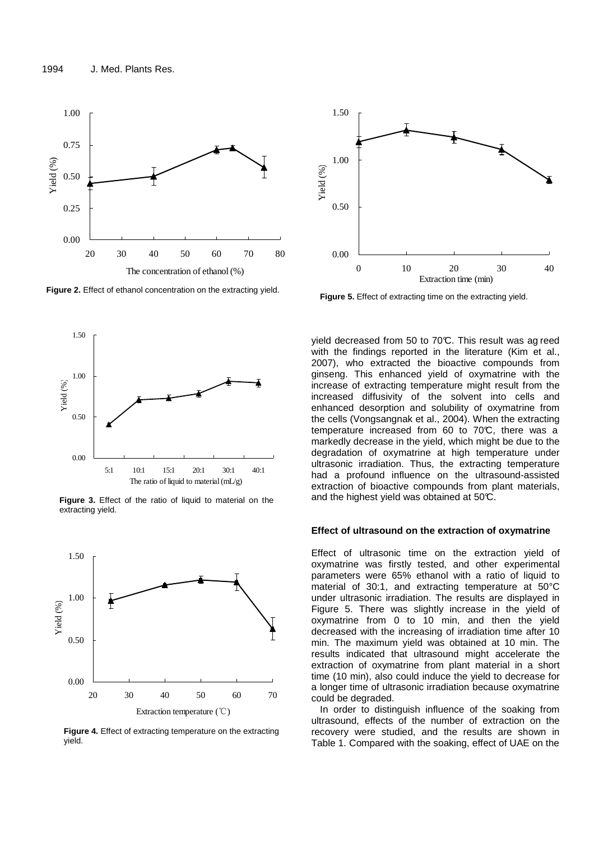

**Figure 2.** Effect of ethanol concentration on the extracting yield.







**Figure 4.** Effect of extracting temperature on the extracting yield.



**Figure 5.** Effect of extracting time on the extracting yield.

yield decreased from 50 to 70°C. This result was ag reed with the findings reported in the literature (Kim et al., 2007), who extracted the bioactive compounds from ginseng. This enhanced yield of oxymatrine with the increase of extracting temperature might result from the increased diffusivity of the solvent into cells and enhanced desorption and solubility of oxymatrine from the cells (Vongsangnak et al., 2004). When the extracting temperature increased from 60 to 70°C, there was a markedly decrease in the yield, which might be due to the degradation of oxymatrine at high temperature under ultrasonic irradiation. Thus, the extracting temperature had a profound influence on the ultrasound-assisted extraction of bioactive compounds from plant materials, and the highest yield was obtained at 50°C.

#### **Effect of ultrasound on the extraction of oxymatrine**

Effect of ultrasonic time on the extraction yield of oxymatrine was firstly tested, and other experimental parameters were 65% ethanol with a ratio of liquid to material of 30:1, and extracting temperature at 50°C under ultrasonic irradiation. The results are displayed in Figure 5. There was slightly increase in the yield of oxymatrine from 0 to 10 min, and then the yield decreased with the increasing of irradiation time after 10 min. The maximum yield was obtained at 10 min. The results indicated that ultrasound might accelerate the extraction of oxymatrine from plant material in a short time (10 min), also could induce the yield to decrease for a longer time of ultrasonic irradiation because oxymatrine could be degraded.

In order to distinguish influence of the soaking from ultrasound, effects of the number of extraction on the recovery were studied, and the results are shown in Table 1. Compared with the soaking, effect of UAE on the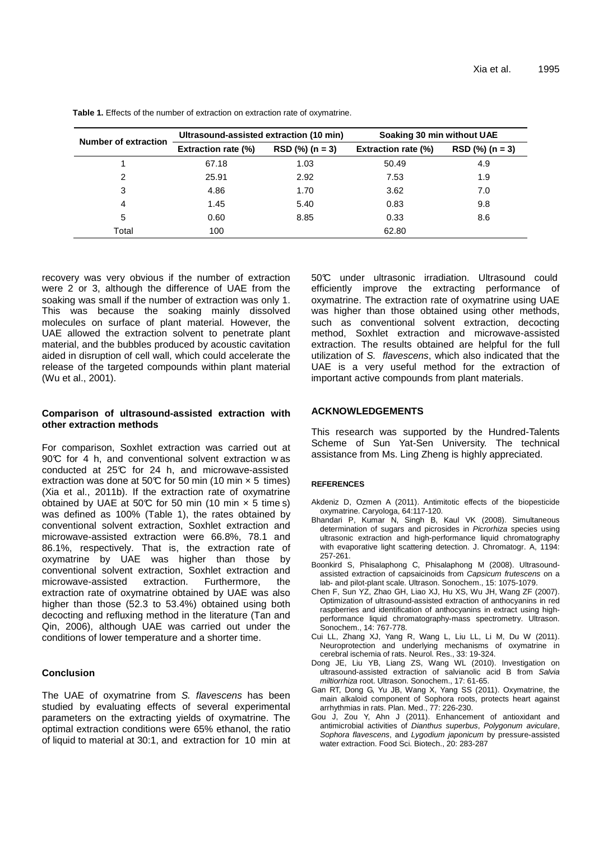| Number of extraction | Ultrasound-assisted extraction (10 min) |                   | Soaking 30 min without UAE |                   |
|----------------------|-----------------------------------------|-------------------|----------------------------|-------------------|
|                      | <b>Extraction rate (%)</b>              | $RSD$ (%) (n = 3) | <b>Extraction rate (%)</b> | $RSD$ (%) (n = 3) |
|                      | 67.18                                   | 1.03              | 50.49                      | 4.9               |
| 2                    | 25.91                                   | 2.92              | 7.53                       | 1.9               |
| 3                    | 4.86                                    | 1.70              | 3.62                       | 7.0               |
| 4                    | 1.45                                    | 5.40              | 0.83                       | 9.8               |
| 5                    | 0.60                                    | 8.85              | 0.33                       | 8.6               |
| Total                | 100                                     |                   | 62.80                      |                   |

**Table 1.** Effects of the number of extraction on extraction rate of oxymatrine.

recovery was very obvious if the number of extraction were 2 or 3, although the difference of UAE from the soaking was small if the number of extraction was only 1. This was because the soaking mainly dissolved molecules on surface of plant material. However, the UAE allowed the extraction solvent to penetrate plant material, and the bubbles produced by acoustic cavitation aided in disruption of cell wall, which could accelerate the release of the targeted compounds within plant material (Wu et al., 2001).

## **Comparison of ultrasound-assisted extraction with other extraction methods**

For comparison, Soxhlet extraction was carried out at  $90^{\circ}$  for 4 h, and conventional solvent extraction w as conducted at 25°C for 24 h, and microwave-assisted extraction was done at 50°C for 50 min (10 min  $\times$  5 times) (Xia et al., 2011b). If the extraction rate of oxymatrine obtained by UAE at 50°C for 50 min (10 min  $\times$  5 time s) was defined as 100% (Table 1), the rates obtained by conventional solvent extraction, Soxhlet extraction and microwave-assisted extraction were 66.8%, 78.1 and 86.1%, respectively. That is, the extraction rate of oxymatrine by UAE was higher than those by conventional solvent extraction, Soxhlet extraction and microwave-assisted extraction. Furthermore, the extraction rate of oxymatrine obtained by UAE was also higher than those (52.3 to 53.4%) obtained using both decocting and refluxing method in the literature (Tan and Qin, 2006), although UAE was carried out under the conditions of lower temperature and a shorter time.

## **Conclusion**

The UAE of oxymatrine from S. flavescens has been studied by evaluating effects of several experimental parameters on the extracting yields of oxymatrine. The optimal extraction conditions were 65% ethanol, the ratio of liquid to material at 30:1, and extraction for 10 min at

50°C under ultrasonic irradiation. Ultrasound could efficiently improve the extracting performance of oxymatrine. The extraction rate of oxymatrine using UAE was higher than those obtained using other methods, such as conventional solvent extraction, decocting method, Soxhlet extraction and microwave-assisted extraction. The results obtained are helpful for the full utilization of S. flavescens, which also indicated that the UAE is a very useful method for the extraction of important active compounds from plant materials.

## **ACKNOWLEDGEMENTS**

This research was supported by the Hundred-Talents Scheme of Sun Yat-Sen University. The technical assistance from Ms. Ling Zheng is highly appreciated.

#### **REFERENCES**

- Akdeniz D, Ozmen A (2011). Antimitotic effects of the biopesticide oxymatrine. Caryologa, 64:117-120.
- Bhandari P, Kumar N, Singh B, Kaul VK (2008). Simultaneous determination of sugars and picrosides in Picrorhiza species using ultrasonic extraction and high-performance liquid chromatography with evaporative light scattering detection. J. Chromatogr. A, 1194: 257-261.
- Boonkird S, Phisalaphong C, Phisalaphong M (2008). Ultrasoundassisted extraction of capsaicinoids from Capsicum frutescens on a lab- and pilot-plant scale. Ultrason. Sonochem., 15: 1075-1079.
- Chen F, Sun YZ, Zhao GH, Liao XJ, Hu XS, Wu JH, Wang ZF (2007). Optimization of ultrasound-assisted extraction of anthocyanins in red raspberries and identification of anthocyanins in extract using highperformance liquid chromatography-mass spectrometry. Ultrason. Sonochem., 14: 767-778.
- Cui LL, Zhang XJ, Yang R, Wang L, Liu LL, Li M, Du W (2011). Neuroprotection and underlying mechanisms of oxymatrine in cerebral ischemia of rats. Neurol. Res., 33: 19-324.
- Dong JE, Liu YB, Liang ZS, Wang WL (2010). Investigation on ultrasound-assisted extraction of salvianolic acid B from Salvia miltiorrhiza root. Ultrason. Sonochem., 17: 61-65.
- Gan RT, Dong G, Yu JB, Wang X, Yang SS (2011). Oxymatrine, the main alkaloid component of Sophora roots, protects heart against arrhythmias in rats. Plan. Med., 77: 226-230.
- Gou J, Zou Y, Ahn J (2011). Enhancement of antioxidant and antimicrobial activities of Dianthus superbus, Polygonum aviculare, Sophora flavescens, and Lygodium japonicum by pressure-assisted water extraction. Food Sci. Biotech., 20: 283-287